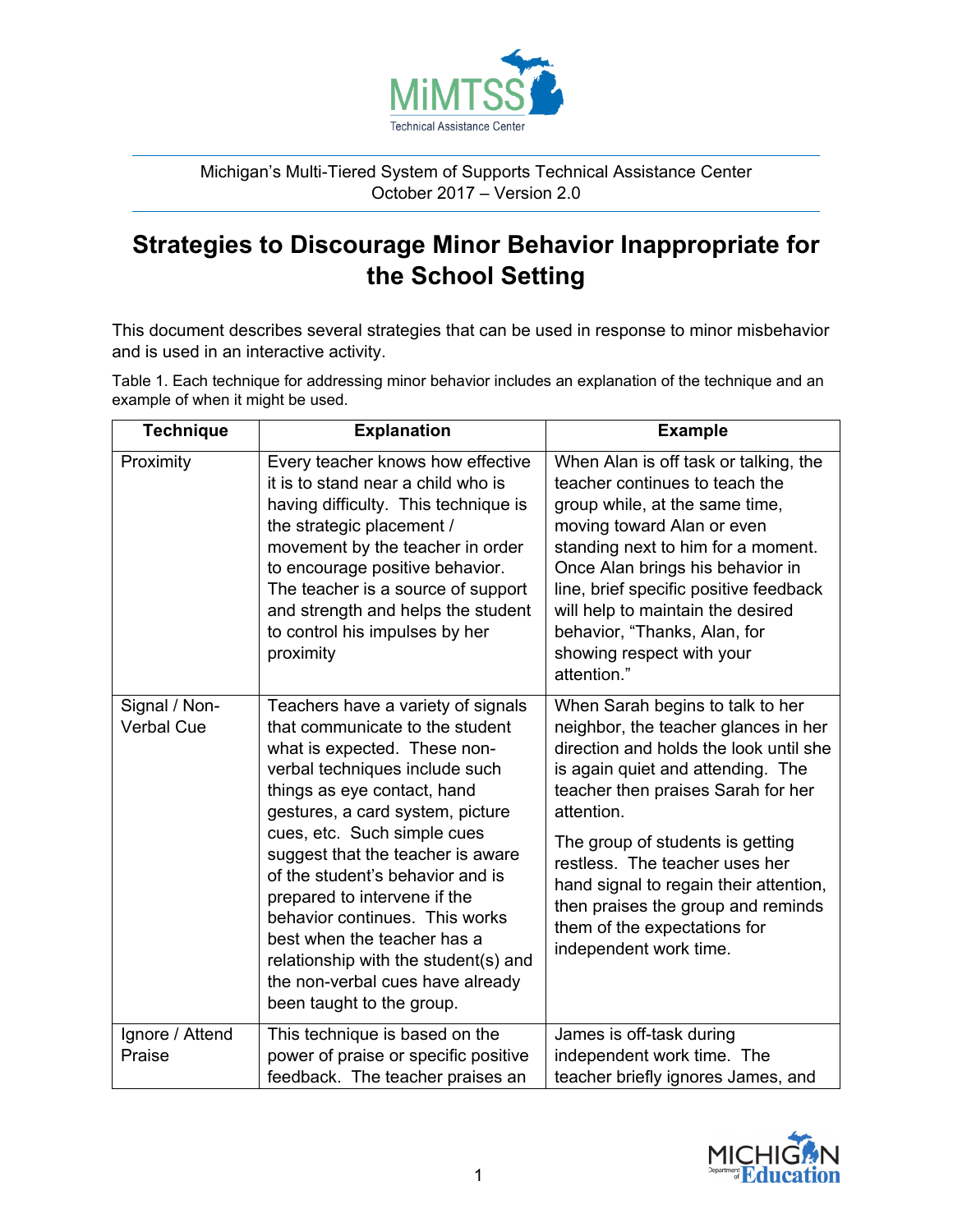

## Michigan's Multi-Tiered System of Supports Technical Assistance Center October 2017 – Version 2.0

## **Strategies to Discourage Minor Behavior Inappropriate for the School Setting**

This document describes several strategies that can be used in response to minor misbehavior and is used in an interactive activity.

Table 1. Each technique for addressing minor behavior includes an explanation of the technique and an example of when it might be used.

| <b>Technique</b>                   | <b>Explanation</b>                                                                                                                                                                                                                                                                                                                                                                                                                                                                                                           | <b>Example</b>                                                                                                                                                                                                                                                                                                                                                                                                              |
|------------------------------------|------------------------------------------------------------------------------------------------------------------------------------------------------------------------------------------------------------------------------------------------------------------------------------------------------------------------------------------------------------------------------------------------------------------------------------------------------------------------------------------------------------------------------|-----------------------------------------------------------------------------------------------------------------------------------------------------------------------------------------------------------------------------------------------------------------------------------------------------------------------------------------------------------------------------------------------------------------------------|
| Proximity                          | Every teacher knows how effective<br>it is to stand near a child who is<br>having difficulty. This technique is<br>the strategic placement /<br>movement by the teacher in order<br>to encourage positive behavior.<br>The teacher is a source of support<br>and strength and helps the student<br>to control his impulses by her<br>proximity                                                                                                                                                                               | When Alan is off task or talking, the<br>teacher continues to teach the<br>group while, at the same time,<br>moving toward Alan or even<br>standing next to him for a moment.<br>Once Alan brings his behavior in<br>line, brief specific positive feedback<br>will help to maintain the desired<br>behavior, "Thanks, Alan, for<br>showing respect with your<br>attention."                                                |
| Signal / Non-<br><b>Verbal Cue</b> | Teachers have a variety of signals<br>that communicate to the student<br>what is expected. These non-<br>verbal techniques include such<br>things as eye contact, hand<br>gestures, a card system, picture<br>cues, etc. Such simple cues<br>suggest that the teacher is aware<br>of the student's behavior and is<br>prepared to intervene if the<br>behavior continues. This works<br>best when the teacher has a<br>relationship with the student(s) and<br>the non-verbal cues have already<br>been taught to the group. | When Sarah begins to talk to her<br>neighbor, the teacher glances in her<br>direction and holds the look until she<br>is again quiet and attending. The<br>teacher then praises Sarah for her<br>attention.<br>The group of students is getting<br>restless. The teacher uses her<br>hand signal to regain their attention,<br>then praises the group and reminds<br>them of the expectations for<br>independent work time. |
| Ignore / Attend<br>Praise          | This technique is based on the<br>power of praise or specific positive<br>feedback. The teacher praises an                                                                                                                                                                                                                                                                                                                                                                                                                   | James is off-task during<br>independent work time. The<br>teacher briefly ignores James, and                                                                                                                                                                                                                                                                                                                                |

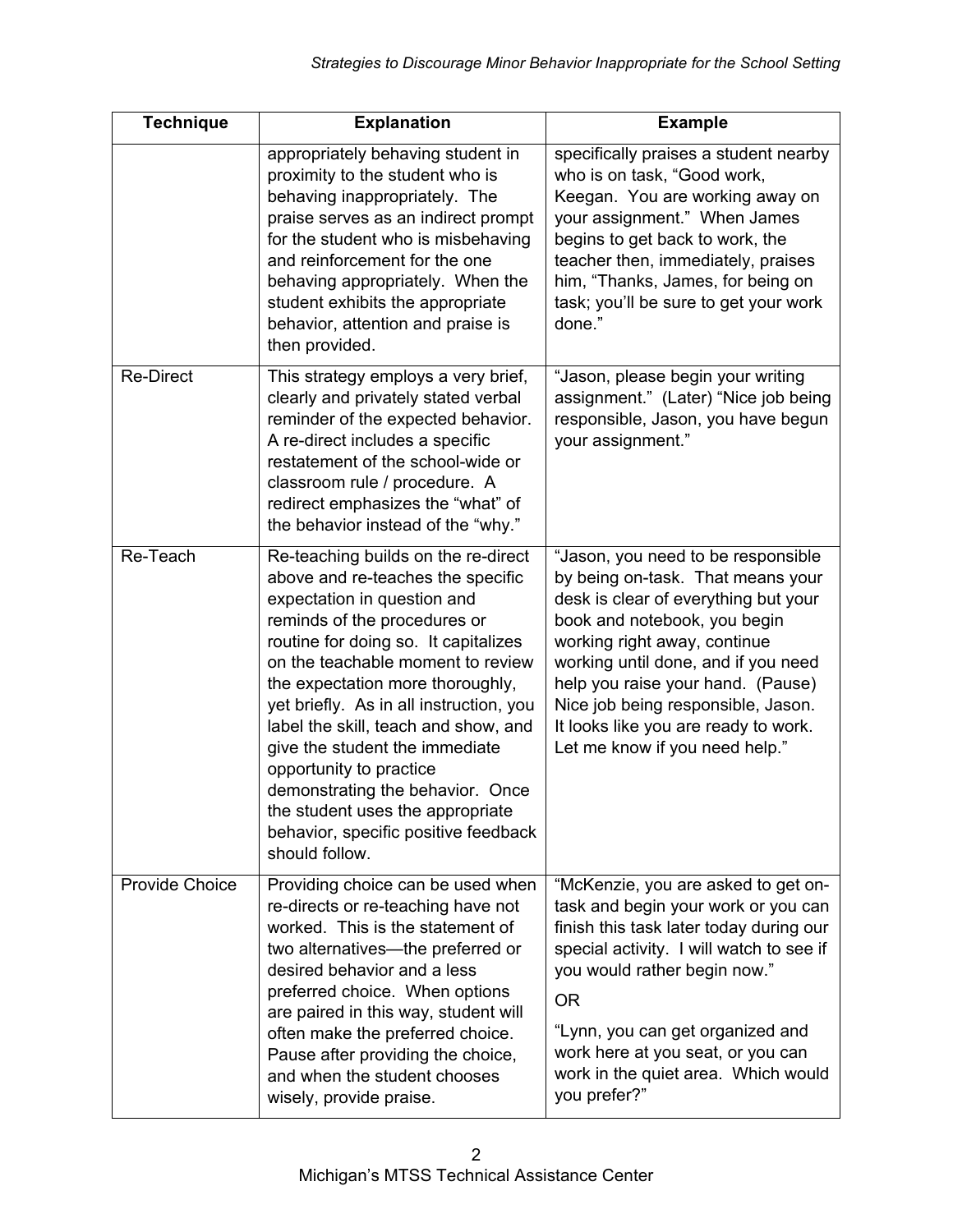| <b>Technique</b>      | <b>Explanation</b>                                                                                                                                                                                                                                                                                                                                                                                                                                                                                                                         | <b>Example</b>                                                                                                                                                                                                                                                                                                                                                              |
|-----------------------|--------------------------------------------------------------------------------------------------------------------------------------------------------------------------------------------------------------------------------------------------------------------------------------------------------------------------------------------------------------------------------------------------------------------------------------------------------------------------------------------------------------------------------------------|-----------------------------------------------------------------------------------------------------------------------------------------------------------------------------------------------------------------------------------------------------------------------------------------------------------------------------------------------------------------------------|
|                       | appropriately behaving student in<br>proximity to the student who is<br>behaving inappropriately. The<br>praise serves as an indirect prompt<br>for the student who is misbehaving<br>and reinforcement for the one<br>behaving appropriately. When the<br>student exhibits the appropriate<br>behavior, attention and praise is<br>then provided.                                                                                                                                                                                         | specifically praises a student nearby<br>who is on task, "Good work,<br>Keegan. You are working away on<br>your assignment." When James<br>begins to get back to work, the<br>teacher then, immediately, praises<br>him, "Thanks, James, for being on<br>task; you'll be sure to get your work<br>done."                                                                    |
| <b>Re-Direct</b>      | This strategy employs a very brief,<br>clearly and privately stated verbal<br>reminder of the expected behavior.<br>A re-direct includes a specific<br>restatement of the school-wide or<br>classroom rule / procedure. A<br>redirect emphasizes the "what" of<br>the behavior instead of the "why."                                                                                                                                                                                                                                       | "Jason, please begin your writing<br>assignment." (Later) "Nice job being<br>responsible, Jason, you have begun<br>your assignment."                                                                                                                                                                                                                                        |
| Re-Teach              | Re-teaching builds on the re-direct<br>above and re-teaches the specific<br>expectation in question and<br>reminds of the procedures or<br>routine for doing so. It capitalizes<br>on the teachable moment to review<br>the expectation more thoroughly,<br>yet briefly. As in all instruction, you<br>label the skill, teach and show, and<br>give the student the immediate<br>opportunity to practice<br>demonstrating the behavior. Once<br>the student uses the appropriate<br>behavior, specific positive feedback<br>should follow. | "Jason, you need to be responsible<br>by being on-task. That means your<br>desk is clear of everything but your<br>book and notebook, you begin<br>working right away, continue<br>working until done, and if you need<br>help you raise your hand. (Pause)<br>Nice job being responsible, Jason.<br>It looks like you are ready to work.<br>Let me know if you need help." |
| <b>Provide Choice</b> | Providing choice can be used when<br>re-directs or re-teaching have not<br>worked. This is the statement of<br>two alternatives—the preferred or<br>desired behavior and a less<br>preferred choice. When options<br>are paired in this way, student will<br>often make the preferred choice.<br>Pause after providing the choice,<br>and when the student chooses<br>wisely, provide praise.                                                                                                                                              | "McKenzie, you are asked to get on-<br>task and begin your work or you can<br>finish this task later today during our<br>special activity. I will watch to see if<br>you would rather begin now."<br><b>OR</b><br>"Lynn, you can get organized and<br>work here at you seat, or you can<br>work in the quiet area. Which would<br>you prefer?"                              |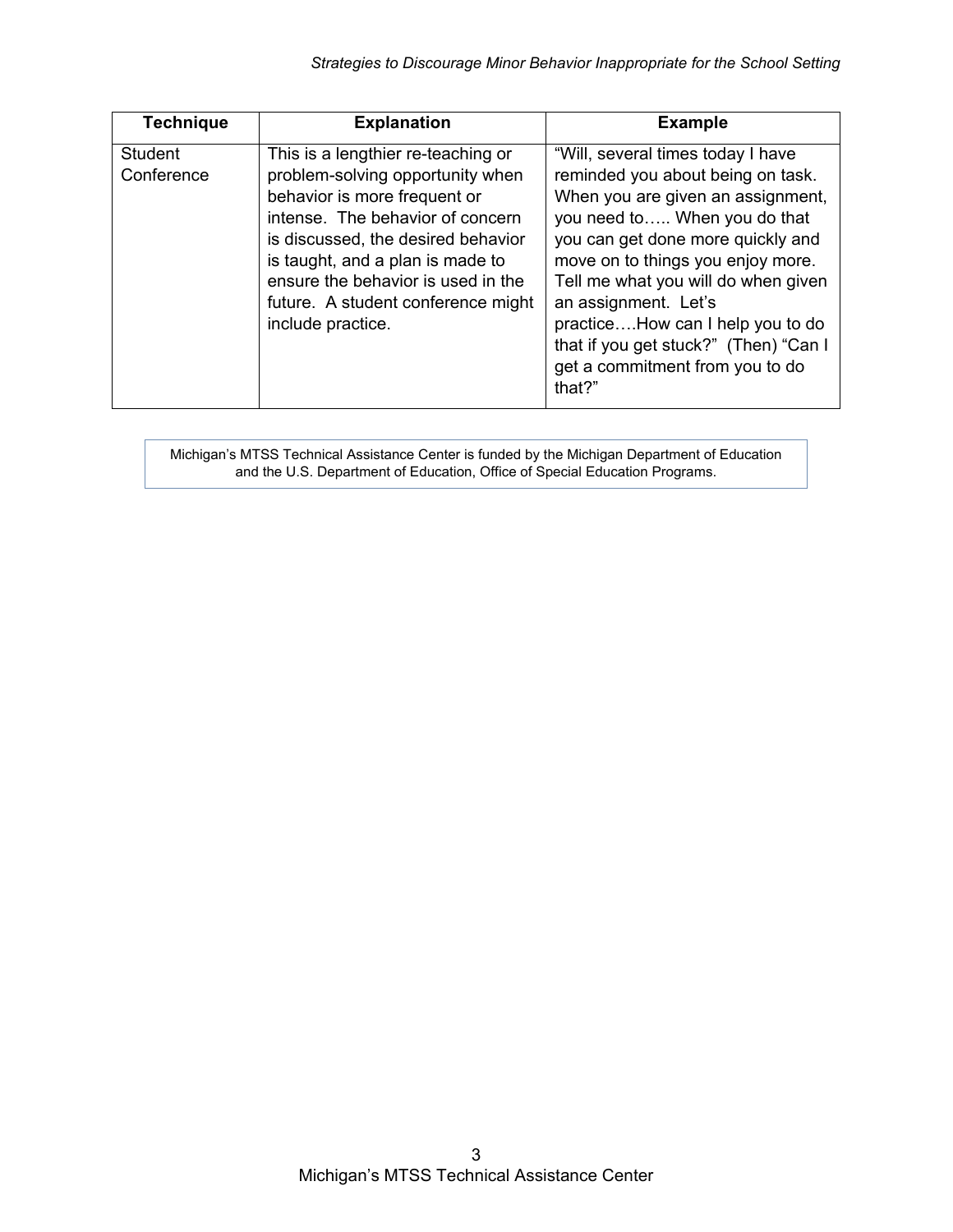| <b>Technique</b>      | <b>Explanation</b>                                                                                                                                                                                                                                                                                                    | <b>Example</b>                                                                                                                                                                                                                                                                                                                                                                                                 |
|-----------------------|-----------------------------------------------------------------------------------------------------------------------------------------------------------------------------------------------------------------------------------------------------------------------------------------------------------------------|----------------------------------------------------------------------------------------------------------------------------------------------------------------------------------------------------------------------------------------------------------------------------------------------------------------------------------------------------------------------------------------------------------------|
| Student<br>Conference | This is a lengthier re-teaching or<br>problem-solving opportunity when<br>behavior is more frequent or<br>intense. The behavior of concern<br>is discussed, the desired behavior<br>is taught, and a plan is made to<br>ensure the behavior is used in the<br>future. A student conference might<br>include practice. | "Will, several times today I have<br>reminded you about being on task.<br>When you are given an assignment,<br>you need to When you do that<br>you can get done more quickly and<br>move on to things you enjoy more.<br>Tell me what you will do when given<br>an assignment. Let's<br>practiceHow can I help you to do<br>that if you get stuck?" (Then) "Can I<br>get a commitment from you to do<br>that?" |

Michigan's MTSS Technical Assistance Center is funded by the Michigan Department of Education and the U.S. Department of Education, Office of Special Education Programs.